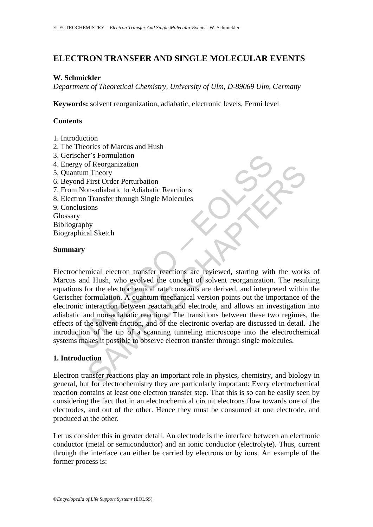# **ELECTRON TRANSFER AND SINGLE MOLECULAR EVENTS**

### **W. Schmickler**

*Department of Theoretical Chemistry, University of Ulm, D-89069 Ulm, Germany* 

**Keywords:** solvent reorganization, adiabatic, electronic levels, Fermi level

# **Contents**

- 1. Introduction
- 2. The Theories of Marcus and Hush
- 3. Gerischer's Formulation
- 4. Energy of Reorganization
- 5. Quantum Theory
- 6. Beyond First Order Perturbation
- 7. From Non-adiabatic to Adiabatic Reactions
- 8. Electron Transfer through Single Molecules
- 9. Conclusions Glossary
- Bibliography

Biographical Sketch

### **Summary**

cher's Formulation<br>
the Theory<br>
and First Order Perturbation<br>
mal First Order Perturbation<br>
Non-adiabatic to Adiabatic Reactions<br>
y<br>
y<br>
straphy<br>
whical Sketch<br>
lusions<br>
y<br>
where a diabatic Reactions<br>
where rormulation. A q Theorganization<br>
Theory<br>
Theory<br>
First Order Perturbation<br>
Transfer through Single Molecules<br>
Transfer through Single Molecules<br>
Ions<br>
My<br>
My<br>
My<br>
al Sketch<br>
of the electron transfer reactions are reviewed, starting with t Electrochemical electron transfer reactions are reviewed, starting with the works of Marcus and Hush, who evolved the concept of solvent reorganization. The resulting equations for the electrochemical rate constants are derived, and interpreted within the Gerischer formulation. A quantum mechanical version points out the importance of the electronic interaction between reactant and electrode, and allows an investigation into adiabatic and non-adiabatic reactions. The transitions between these two regimes, the effects of the solvent friction, and of the electronic overlap are discussed in detail. The introduction of the tip of a scanning tunneling microscope into the electrochemical systems makes it possible to observe electron transfer through single molecules.

# **1. Introduction**

Electron transfer reactions play an important role in physics, chemistry, and biology in general, but for electrochemistry they are particularly important: Every electrochemical reaction contains at least one electron transfer step. That this is so can be easily seen by considering the fact that in an electrochemical circuit electrons flow towards one of the electrodes, and out of the other. Hence they must be consumed at one electrode, and produced at the other.

Let us consider this in greater detail. An electrode is the interface between an electronic conductor (metal or semiconductor) and an ionic conductor (electrolyte). Thus, current through the interface can either be carried by electrons or by ions. An example of the former process is: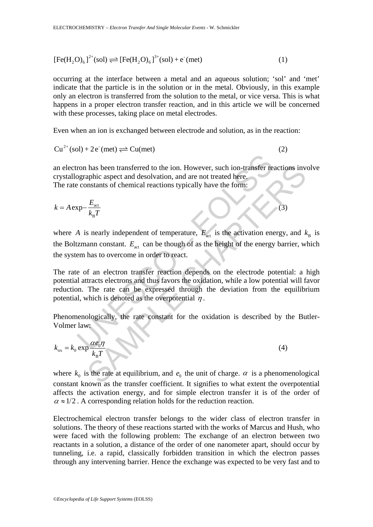$$
[Fe(H2O)6]2+(sol) \rightleftharpoons [Fe(H2O)6]3+(sol) + e-(met)
$$
\n(1)

occurring at the interface between a metal and an aqueous solution; 'sol' and 'met' indicate that the particle is in the solution or in the metal. Obviously, in this example only an electron is transferred from the solution to the metal, or vice versa. This is what happens in a proper electron transfer reaction, and in this article we will be concerned with these processes, taking place on metal electrodes.

Even when an ion is exchanged between electrode and solution, as in the reaction:

$$
Cu^{2+}(sol) + 2e^{}(met) \rightleftharpoons Cu(met)
$$
 (2)

an electron has been transferred to the ion. However, such ion-transfer reactions involve crystallographic aspect and desolvation, and are not treated here. The rate constants of chemical reactions typically have the form:

$$
k = A \exp{-\frac{E_{\text{act}}}{k_{\text{B}}T}}
$$
 (3)

where *A* is nearly independent of temperature,  $E_{\text{act}}$  is the activation energy, and  $k_{\text{B}}$  is the Boltzmann constant.  $E_{\text{act}}$  can be though of as the height of the energy barrier, which the system has to overcome in order to react.

From has been transferred to the ion. However, such ion-transfer re-<br>
gyraphic aspect and desolvation, and are not treated here.<br>
constants of chemical reactions typically have the form:<br>  $\exp{-\frac{E_{\text{net}}}{k_B T}}$ <br>
A is nearly has been transferred to the ion. However, such ion-transfer reactions inversible capacities and desolvation, and are not treated here.<br>
Mesonstants of chemical reactions typically have the form:<br>  $\frac{E_{\text{sec}}}{k_B T}$ <br>
s near The rate of an electron transfer reaction depends on the electrode potential: a high potential attracts electrons and thus favors the oxidation, while a low potential will favor reduction. The rate can be expressed through the deviation from the equilibrium potential, which is denoted as the overpotential  $\eta$ .

Phenomenologically, the rate constant for the oxidation is described by the Butler-Volmer law:

$$
k_{ox} = k_0 \exp \frac{\alpha e_0 \eta}{k_B T}
$$
 (4)

where  $k_0$  is the rate at equilibrium, and  $e_0$  the unit of charge.  $\alpha$  is a phenomenological constant known as the transfer coefficient. It signifies to what extent the overpotential affects the activation energy, and for simple electron transfer it is of the order of  $\alpha \approx 1/2$ . A corresponding relation holds for the reduction reaction.

Electrochemical electron transfer belongs to the wider class of electron transfer in solutions. The theory of these reactions started with the works of Marcus and Hush, who were faced with the following problem: The exchange of an electron between two reactants in a solution, a distance of the order of one nanometer apart, should occur by tunneling, i.e. a rapid, classically forbidden transition in which the electron passes through any intervening barrier. Hence the exchange was expected to be very fast and to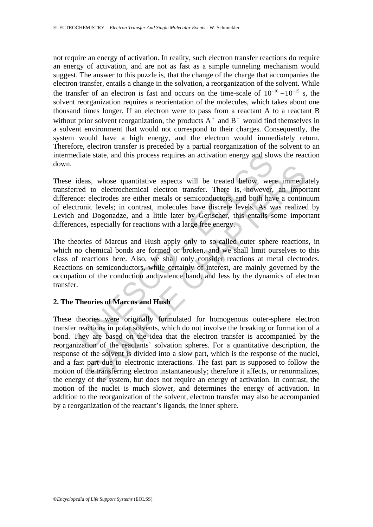not require an energy of activation. In reality, such electron transfer reactions do require an energy of activation, and are not as fast as a simple tunneling mechanism would suggest. The answer to this puzzle is, that the change of the charge that accompanies the electron transfer, entails a change in the solvation, a reorganization of the solvent. While the transfer of an electron is fast and occurs on the time-scale of  $10^{-16} - 10^{-15}$  s, the solvent reorganization requires a reorientation of the molecules, which takes about one thousand times longer. If an electron were to pass from a reactant A to a reactant B without prior solvent reorganization, the products  $A^+$  and  $B^-$  would find themselves in a solvent environment that would not correspond to their charges. Consequently, the system would have a high energy, and the electron would immediately return. Therefore, electron transfer is preceded by a partial reorganization of the solvent to an intermediate state, and this process requires an activation energy and slows the reaction down.

diate state, and this process requires an activation energy and slot dideas, whose quantitative aspects will be treated below, wered to electrochemical electron transfer. There is, however, ce: electrodes are either metals These ideas, whose quantitative aspects will be treated below, were immediately transferred to electrochemical electron transfer. There is, however, an important difference: electrodes are either metals or semiconductors, and both have a continuum of electronic levels; in contrast, molecules have discrete levels. As was realized by Levich and Dogonadze, and a little later by Gerischer, this entails some important differences, especially for reactions with a large free energy.

The theories of Marcus and Hush apply only to so-called outer sphere reactions, in which no chemical bonds are formed or broken, and we shall limit ourselves to this class of reactions here. Also, we shall only consider reactions at metal electrodes. Reactions on semiconductors, while certainly of interest, are mainly governed by the occupation of the conduction and valence band, and less by the dynamics of electron transfer.

## **2. The Theories of Marcus and Hush**

as, whose quantitative aspects will be treated below, were immediated ecloctochemical electron transfer. There is, however, an impore electrodes are either metals or semiconductors, and both have a continual in Dogonadze, These theories were originally formulated for homogenous outer-sphere electron transfer reactions in polar solvents, which do not involve the breaking or formation of a bond. They are based on the idea that the electron transfer is accompanied by the reorganization of the reactants' solvation spheres. For a quantitative description, the response of the solvent is divided into a slow part, which is the response of the nuclei, and a fast part due to electronic interactions. The fast part is supposed to follow the motion of the transferring electron instantaneously; therefore it affects, or renormalizes, the energy of the system, but does not require an energy of activation. In contrast, the motion of the nuclei is much slower, and determines the energy of activation. In addition to the reorganization of the solvent, electron transfer may also be accompanied by a reorganization of the reactant's ligands, the inner sphere.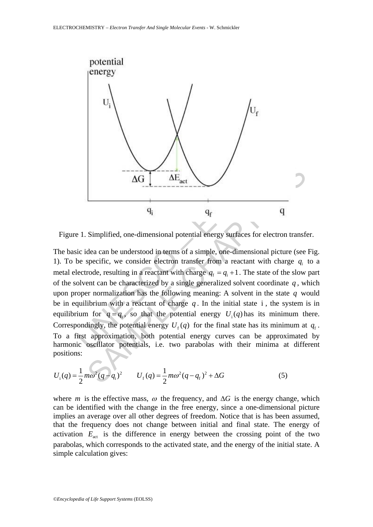

Figure 1. Simplified, one-dimensional potential energy surfaces for electron transfer.

AG <br>  $\Delta G$   $\Delta E_{\text{act}}$ <br>
4<sub>i</sub><br>
2 1. Simplified, one-dimensional potential energy surfaces for election<br>
ic idea can be understood in terms of a simple, one-dimensional p<br>
be specific, we consider electron transfer from a r Simplified, one-dimensional potential energy surfaces for electron transformational potential energy surfaces for electron transformation of a simple, one-dimensional picture (see specific, we consider electron transfer f The basic idea can be understood in terms of a simple, one-dimensional picture (see Fig. 1). To be specific, we consider electron transfer from a reactant with charge  $q_i$  to a metal electrode, resulting in a reactant with charge  $q_f = q_i + 1$ . The state of the slow part of the solvent can be characterized by a single generalized solvent coordinate  $q$ , which upon proper normalization has the following meaning: A solvent in the state *q* would be in equilibrium with a reactant of charge  $q$ . In the initial state i, the system is in equilibrium for  $q = q_i$ , so that the potential energy  $U_i(q)$  has its minimum there. Correspondingly, the potential energy  $U_f(q)$  for the final state has its minimum at  $q_f$ . To a first approximation, both potential energy curves can be approximated by harmonic oscillator potentials, i.e. two parabolas with their minima at different positions:

$$
U_{i}(q) = \frac{1}{2}m\omega^{2}(q - q_{i})^{2} \qquad U_{f}(q) = \frac{1}{2}m\omega^{2}(q - q_{f})^{2} + \Delta G
$$
 (5)

where *m* is the effective mass,  $\omega$  the frequency, and  $\Delta G$  is the energy change, which can be identified with the change in the free energy, since a one-dimensional picture implies an average over all other degrees of freedom. Notice that is has been assumed, that the frequency does not change between initial and final state. The energy of activation  $E_{\text{act}}$  is the difference in energy between the crossing point of the two parabolas, which corresponds to the activated state, and the energy of the initial state. A simple calculation gives: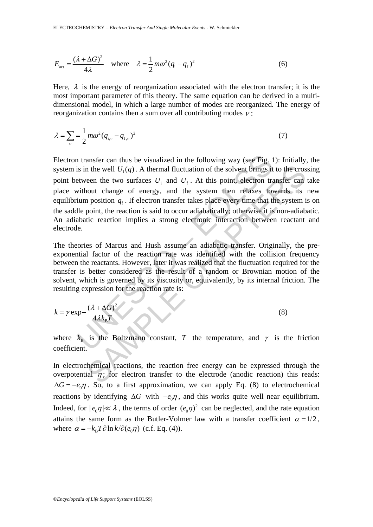$$
E_{\text{act}} = \frac{(\lambda + \Delta G)^2}{4\lambda} \quad \text{where} \quad \lambda = \frac{1}{2} m\omega^2 (q_i - q_f)^2 \tag{6}
$$

Here,  $\lambda$  is the energy of reorganization associated with the electron transfer; it is the most important parameter of this theory. The same equation can be derived in a multidimensional model, in which a large number of modes are reorganized. The energy of reorganization contains then a sum over all contributing modes  $v$ :

$$
\lambda = \sum_{\nu} = \frac{1}{2} m \omega^2 (q_{i,\nu} - q_{f,\nu})^2
$$
\n(7)

1 transfer can thus be visualized in the following way (see Fig. 1<br>is in the well  $U_i(q)$ . A thermal fluctuation of the solvent brings it<br>etween the two surfaces  $U_i$  and  $U_f$ . At this point, electron tra<br>without change of n the well  $U_i(q)$ . A thermal fluctuation of the solvent brings it to the cros<br>
een the two surfaces  $U_i$  and  $U_f$ . At this point, electron transfer can<br>
nout change of energy, and the system then relaxes towards its<br>
nosi Electron transfer can thus be visualized in the following way (see Fig. 1): Initially, the system is in the well  $U_i(q)$ . A thermal fluctuation of the solvent brings it to the crossing point between the two surfaces  $U_i$  and  $U_f$ . At this point, electron transfer can take place without change of energy, and the system then relaxes towards its new equilibrium position  $q_f$ . If electron transfer takes place every time that the system is on the saddle point, the reaction is said to occur adiabatically; otherwise it is non-adiabatic. An adiabatic reaction implies a strong electronic interaction between reactant and electrode.

The theories of Marcus and Hush assume an adiabatic transfer. Originally, the preexponential factor of the reaction rate was identified with the collision frequency between the reactants. However, later it was realized that the fluctuation required for the transfer is better considered as the result of a random or Brownian motion of the solvent, which is governed by its viscosity or, equivalently, by its internal friction. The resulting expression for the reaction rate is:

$$
k = \gamma \exp{-\frac{(\lambda + \Delta G)^2}{4\lambda k_B T}}
$$
 (8)

where  $k_B$  is the Boltzmann constant, *T* the temperature, and  $\gamma$  is the friction coefficient.

In electrochemical reactions, the reaction free energy can be expressed through the overpotential  $\eta$ ; for electron transfer to the electrode (anodic reaction) this reads:  $\Delta G = -e_0 \eta$ . So, to a first approximation, we can apply Eq. (8) to electrochemical reactions by identifying  $\Delta G$  with  $-e_0 \eta$ , and this works quite well near equilibrium. Indeed, for  $|e_0 \eta| \ll \lambda$ , the terms of order  $(e_0 \eta)^2$  can be neglected, and the rate equation attains the same form as the Butler-Volmer law with a transfer coefficient  $\alpha = 1/2$ , where  $\alpha = -k_B T \partial \ln k / \partial (e_0 \eta)$  (c.f. Eq. (4)).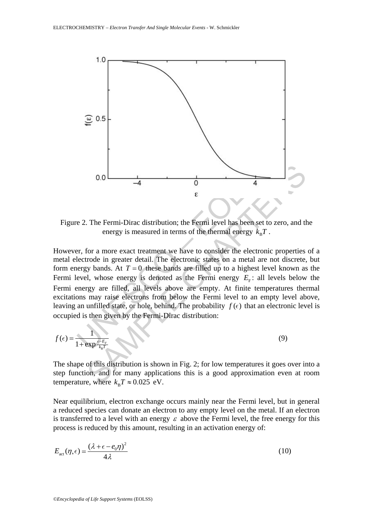

Figure 2. The Fermi-Dirac distribution; the Fermi level has been set to zero, and the energy is measured in terms of the thermal energy  $k_{\rm B}T$ .

0.0 – – 4 – 0<br>
E<br>
E<br>
e 2. The Fermi-Dirac distribution; the Fermi level has been set to<br>
energy is measured in terms of the fhermal energy  $k_B T$ .<br>
Pure the formal energy is measured in terms of the fhermal energy  $k_B T$ .<br> 6.0<br>
The Fermi-Dirac distribution; the Fermi level has been set to zero, and the energy is measured in terms of the thermal energy  $k_nT$ .<br>
For a more exact treatment we have to consider the electronic properties<br>
rode in However, for a more exact treatment we have to consider the electronic properties of a metal electrode in greater detail. The electronic states on a metal are not discrete, but form energy bands. At  $T = 0$  these bands are filled up to a highest level known as the Fermi level, whose energy is denoted as the Fermi energy  $E<sub>F</sub>$ : all levels below the Fermi energy are filled, all levels above are empty. At finite temperatures thermal excitations may raise electrons from below the Fermi level to an empty level above, leaving an unfilled state, or hole, behind. The probability  $f(\epsilon)$  that an electronic level is occupied is then given by the Fermi-Dirac distribution:

$$
f(\epsilon) = \frac{1}{1 + \exp{\frac{\epsilon - E_F}{k_B T}}}
$$
(9)

The shape of this distribution is shown in Fig. 2; for low temperatures it goes over into a step function, and for many applications this is a good approximation even at room temperature, where  $k_{\text{B}}T \approx 0.025 \text{ eV}$ .

Near equilibrium, electron exchange occurs mainly near the Fermi level, but in general a reduced species can donate an electron to any empty level on the metal. If an electron is transferred to a level with an energy  $\varepsilon$  above the Fermi level, the free energy for this process is reduced by this amount, resulting in an activation energy of:

$$
E_{\text{act}}(\eta, \epsilon) = \frac{(\lambda + \epsilon - e_0 \eta)^2}{4\lambda} \tag{10}
$$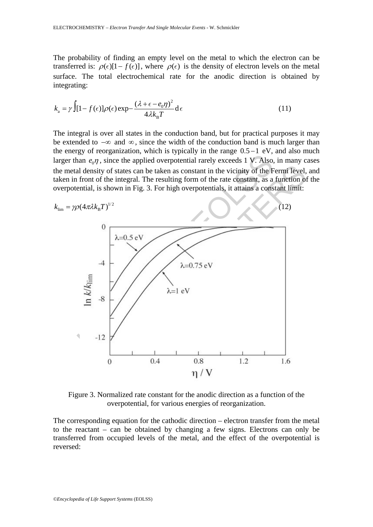The probability of finding an empty level on the metal to which the electron can be transferred is:  $\rho(\epsilon)[1 - f(\epsilon)]$ , where  $\rho(\epsilon)$  is the density of electron levels on the metal surface. The total electrochemical rate for the anodic direction is obtained by integrating:

$$
k_{\rm a} = \gamma \int [1 - f(\epsilon)] \rho(\epsilon) \exp{-\frac{(\lambda + \epsilon - e_0 \eta)^2}{4\lambda k_{\rm B}T}} d\epsilon
$$
 (11)

The integral is over all states in the conduction band, but for practical purposes it may be extended to −∞ and ∞ , since the width of the conduction band is much larger than the energy of reorganization, which is typically in the range  $0.5 - 1$  eV, and also much larger than  $e_0 \eta$ , since the applied overpotential rarely exceeds 1 V. Also, in many cases the metal density of states can be taken as constant in the vicinity of the Fermi level, and taken in front of the integral. The resulting form of the rate constant, as a function of the overpotential, is shown in Fig. 3. For high overpotentials, it attains a constant limit:



Figure 3. Normalized rate constant for the anodic direction as a function of the overpotential, for various energies of reorganization.

The corresponding equation for the cathodic direction – electron transfer from the metal to the reactant – can be obtained by changing a few signs. Electrons can only be transferred from occupied levels of the metal, and the effect of the overpotential is reversed: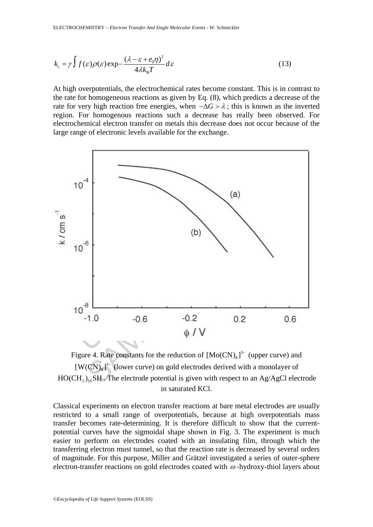$$
k_{\rm c} = \gamma \int f(\varepsilon) \rho(\varepsilon) \exp{-\frac{(\lambda - \varepsilon + e_0 \eta)^2}{4\lambda k_{\rm B} T}} d\varepsilon
$$
 (13)

At high overpotentials, the electrochemical rates become constant. This is in contrast to the rate for homogeneous reactions as given by Eq. (8), which predicts a decrease of the rate for very high reaction free energies, when  $-\Delta G > \lambda$ ; this is known as the inverted region. For homogenous reactions such a decrease has really been observed. For electrochemical electron transfer on metals this decrease does not occur because of the large range of electronic levels available for the exchange.



Figure 4. Rate constants for the reduction of  $[Mo(CN)_8]$ <sup>3-</sup> (upper curve) and  $[ W(CN)_{8}]^{3-}$  (lower curve) on gold electrodes derived with a monolayer of  $HO(CH_2)_{16}$ SH. The electrode potential is given with respect to an Ag/AgCl electrode in saturated KCl.

Classical experiments on electron transfer reactions at bare metal electrodes are usually restricted to a small range of overpotentials, because at high overpotentials mass transfer becomes rate-determining. It is therefore difficult to show that the currentpotential curves have the sigmoidal shape shown in Fig. 3. The experiment is much easier to perform on electrodes coated with an insulating film, through which the transferring electron must tunnel, so that the reaction rate is decreased by several orders of magnitude. For this purpose, Miller and Grätzel investigated a series of outer-sphere electron-transfer reactions on gold electrodes coated with  $\omega$ -hydroxy-thiol layers about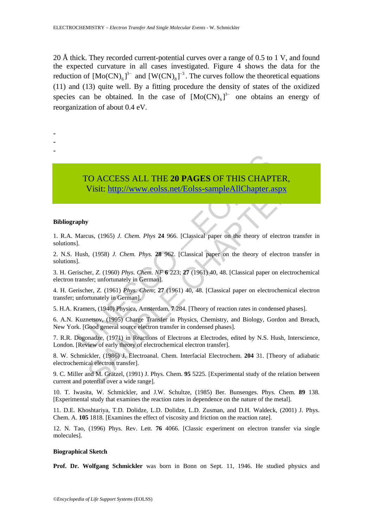20 Å thick. They recorded current-potential curves over a range of 0.5 to 1 V, and found the expected curvature in all cases investigated. Figure 4 shows the data for the reduction of  $[Mo(CN)_{6}]^{3}$  and  $[W(CN)_{8}]^{3}$ . The curves follow the theoretical equations (11) and (13) quite well. By a fitting procedure the density of states of the oxidized species can be obtained. In the case of  $[Mo(CN)_{6}]^{3-}$  one obtains an energy of reorganization of about 0.4 eV.

- -
- -
- -

TO ACCESS ALL THE 20 PAGES OF THIS CHAP<br>Visit: http://www.eolss.net/Eolss-sampleAllChapter.a<br>pappy<br>Marcus, (1965) *J. Chem. Phys.* 24 966. [Classical paper on the theory of el<br>J.<br>Hush, (1958) *J. Chem. Phys.* 28 962. [Clas SAMPLE CHAPT[ERS](https://www.eolss.net/ebooklib/sc_cart.aspx?File=E6-121-02-00) TO ACCESS ALL THE **20 PAGES** OF THIS CHAPTER, Visit: http://www.eolss.net/Eolss-sampleAllChapter.aspx

#### **Bibliography**

1. R.A. Marcus, (1965) *J. Chem. Phys* **24** 966. [Classical paper on the theory of electron transfer in solutions].

2. N.S. Hush, (1958) *J. Chem. Phys.* **28** 962. [Classical paper on the theory of electron transfer in solutions].

3. H. Gerischer, *Z.* (1960) *Phys. Chem. NF* **6** 223; **27** (1961) 40, 48. [Classical paper on electrochemical electron transfer; unfortunately in German].

4. H. Gerischer, *Z.* (1961) *Phys. Chem*; **27** (1961) 40, 48. [Classical paper on electrochemical electron transfer; unfortunately in German].

5. H.A. Kramers, (1940) Physica, Amsterdam, **7** 284. [Theory of reaction rates in condensed phases].

6. A.N. Kuznetsov, (1995) Charge Transfer in Physics, Chemistry, and Biology, Gordon and Breach, New York. [Good general source electron transfer in condensed phases].

7. R.R. Dogonadze, (1971) in Reactions of Electrons at Electrodes, edited by N.S. Hush, Interscience, London. [Review of early theory of electrochemical electron transfer].

8. W. Schmickler, (1986) J. Electroanal. Chem. Interfacial Electrochem. **204** 31. [Theory of adiabatic electrochemical electron transfer].

9. C. Miller and M. Grätzel, (1991) J. Phys. Chem. **95** 5225. [Experimental study of the relation between current and potential over a wide range].

10. T. Iwasita, W. Schmickler, and J.W. Schultze, (1985) Ber. Bunsenges. Phys. Chem. **89** 138. [Experimental study that examines the reaction rates in dependence on the nature of the metal].

11. D.E. Khoshtariya, T.D. Dolidze, L.D. Dolidze, L.D. Zusman, and D.H. Waldeck, (2001) J. Phys. Chem. A. **105** 1818. [Examines the effect of viscosity and friction on the reaction rate].

12. N. Tao, (1996) Phys. Rev. Lett. **76** 4066. [Classic experiment on electron transfer via single molecules].

#### **Biographical Sketch**

**Prof. Dr. Wolfgang Schmickler** was born in Bonn on Sept. 11, 1946. He studied physics and